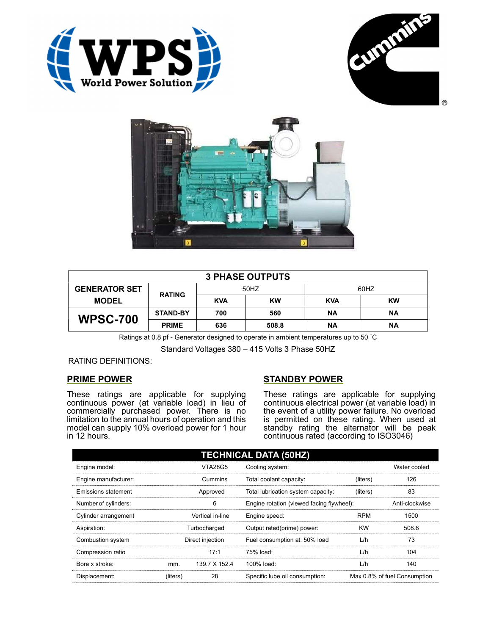





| <b>3 PHASE OUTPUTS</b> |                 |            |           |            |           |  |  |
|------------------------|-----------------|------------|-----------|------------|-----------|--|--|
| <b>GENERATOR SET</b>   | <b>RATING</b>   | 50HZ       |           | 60HZ       |           |  |  |
| <b>MODEL</b>           |                 | <b>KVA</b> | <b>KW</b> | <b>KVA</b> | <b>KW</b> |  |  |
| <b>WPSC-700</b>        | <b>STAND-BY</b> | 700        | 560       | ΝA         | ΝA        |  |  |
|                        | <b>PRIME</b>    | 636        | 508.8     | <b>NA</b>  | ΝA        |  |  |

Ratings at 0.8 pf - Generator designed to operate in ambient temperatures up to 50 °C

Standard Voltages 380 – 415 Volts 3 Phase 50HZ

RATING DEFINITIONS:

## PRIME POWER

These ratings are applicable for supplying continuous power (at variable load) in lieu of commercially purchased power. There is no limitation to the annual hours of operation and this model can supply 10% overload power for 1 hour in 12 hours.

## STANDBY POWER

These ratings are applicable for supplying continuous electrical power (at variable load) in the event of a utility power failure. No overload is permitted on these rating. When used at standby rating the alternator will be peak continuous rated (according to ISO3046)

| <b>TECHNICAL DATA (50HZ)</b> |                  |                |                                           |            |                              |  |  |
|------------------------------|------------------|----------------|-------------------------------------------|------------|------------------------------|--|--|
| Engine model:                |                  | <b>VTA28G5</b> | Cooling system:                           |            | Water cooled                 |  |  |
| Engine manufacturer:         |                  | Cummins        | Total coolant capacity:                   | (liters)   | 126                          |  |  |
| <b>Emissions statement</b>   | Approved         |                | Total lubrication system capacity:        | (liters)   | 83                           |  |  |
| Number of cylinders:         | 6                |                | Engine rotation (viewed facing flywheel): |            | Anti-clockwise               |  |  |
| Cylinder arrangement         | Vertical in-line |                | Engine speed:                             | <b>RPM</b> | 1500                         |  |  |
| Aspiration:                  | Turbocharged     |                | Output rated(prime) power:                | <b>KW</b>  | 508.8                        |  |  |
| Combustion system            | Direct injection |                | Fuel consumption at: 50% load             | L/h        | 73                           |  |  |
| Compression ratio            |                  | 17:1           | 75% load:                                 | L/h        | 104                          |  |  |
| Bore x stroke:               | mm.              | 139.7 X 152.4  | 100% load:                                | L/h        | 140                          |  |  |
| Displacement:                | (liters)         | 28             | Specific lube oil consumption:            |            | Max 0.8% of fuel Consumption |  |  |